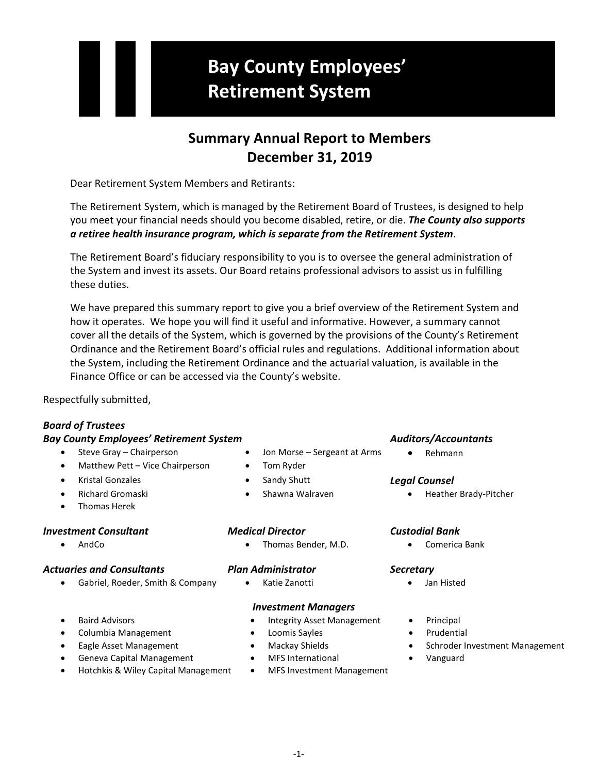# **Bay County Employees' Retirement System**

# **Summary Annual Report to Members December 31, 2019**

Dear Retirement System Members and Retirants:

The Retirement System, which is managed by the Retirement Board of Trustees, is designed to help you meet your financial needs should you become disabled, retire, or die. *The County also supports a retiree health insurance program, which is separate from the Retirement System*.

The Retirement Board's fiduciary responsibility to you is to oversee the general administration of the System and invest its assets. Our Board retains professional advisors to assist us in fulfilling these duties.

We have prepared this summary report to give you a brief overview of the Retirement System and how it operates. We hope you will find it useful and informative. However, a summary cannot cover all the details of the System, which is governed by the provisions of the County's Retirement Ordinance and the Retirement Board's official rules and regulations. Additional information about the System, including the Retirement Ordinance and the actuarial valuation, is available in the Finance Office or can be accessed via the County's website.

Respectfully submitted,

# *Board of Trustees*

## *Bay County Employees' Retirement System Auditors/Accountants*

- Steve Gray Chairperson Jon Morse Sergeant at Arms Rehmann
- Matthew Pett Vice Chairperson Tom Ryder
- Kristal Gonzales Sandy Shutt *Legal Counsel*
- 
- Thomas Herek

## *Investment Consultant Medical Director Custodial Bank*

## *Actuaries and Consultants Plan Administrator Secretary*

• Gabriel, Roeder, Smith & Company • Katie Zanotti • Jan Histed

- -

• Richard Gromaski • Shawna Walraven • Heather Brady-Pitcher

• AndCo • Thomas Bender, M.D. • Comerica Bank

- 
- Columbia Management Loomis Sayles Prudential
- 
- Geneva Capital Management MFS International Vanguard
- Hotchkis & Wiley Capital Management MFS Investment Management

- *Investment Managers*
- **Baird Advisors Integrity Asset Management Principal** 
	-
	-
	-
	-
- 
- 
- Eagle Asset Management Mackay Shields Schroder Investment Management
	-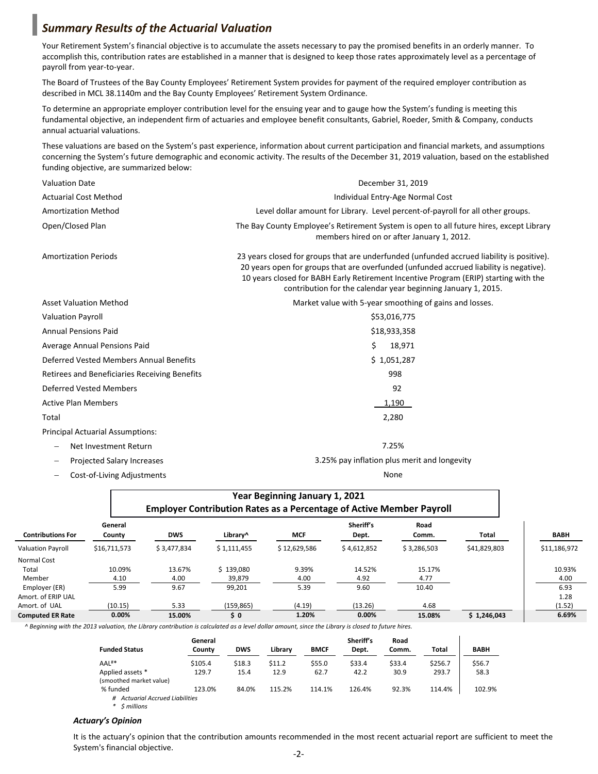# *Summary Results of the Actuarial Valuation*

Your Retirement System's financial objective is to accumulate the assets necessary to pay the promised benefits in an orderly manner. To accomplish this, contribution rates are established in a manner that is designed to keep those rates approximately level as a percentage of payroll from year-to-year.

The Board of Trustees of the Bay County Employees' Retirement System provides for payment of the required employer contribution as described in MCL 38.1140m and the Bay County Employees' Retirement System Ordinance.

To determine an appropriate employer contribution level for the ensuing year and to gauge how the System's funding is meeting this fundamental objective, an independent firm of actuaries and employee benefit consultants, Gabriel, Roeder, Smith & Company, conducts annual actuarial valuations.

These valuations are based on the System's past experience, information about current participation and financial markets, and assumptions concerning the System's future demographic and economic activity. The results of the December 31, 2019 valuation, based on the established funding objective, are summarized below:

| <b>Valuation Date</b>                                  | December 31, 2019                                                                                                                                                                                                                                                                                                                            |  |  |  |  |
|--------------------------------------------------------|----------------------------------------------------------------------------------------------------------------------------------------------------------------------------------------------------------------------------------------------------------------------------------------------------------------------------------------------|--|--|--|--|
| <b>Actuarial Cost Method</b>                           | Individual Entry-Age Normal Cost                                                                                                                                                                                                                                                                                                             |  |  |  |  |
| <b>Amortization Method</b>                             | Level dollar amount for Library. Level percent-of-payroll for all other groups.                                                                                                                                                                                                                                                              |  |  |  |  |
| Open/Closed Plan                                       | The Bay County Employee's Retirement System is open to all future hires, except Library<br>members hired on or after January 1, 2012.                                                                                                                                                                                                        |  |  |  |  |
| <b>Amortization Periods</b>                            | 23 years closed for groups that are underfunded (unfunded accrued liability is positive).<br>20 years open for groups that are overfunded (unfunded accrued liability is negative).<br>10 years closed for BABH Early Retirement Incentive Program (ERIP) starting with the<br>contribution for the calendar year beginning January 1, 2015. |  |  |  |  |
| <b>Asset Valuation Method</b>                          | Market value with 5-year smoothing of gains and losses.                                                                                                                                                                                                                                                                                      |  |  |  |  |
| <b>Valuation Payroll</b>                               | \$53,016,775                                                                                                                                                                                                                                                                                                                                 |  |  |  |  |
| <b>Annual Pensions Paid</b>                            | \$18,933,358                                                                                                                                                                                                                                                                                                                                 |  |  |  |  |
| Average Annual Pensions Paid                           | Ś.<br>18,971                                                                                                                                                                                                                                                                                                                                 |  |  |  |  |
| Deferred Vested Members Annual Benefits                | \$1,051,287                                                                                                                                                                                                                                                                                                                                  |  |  |  |  |
| Retirees and Beneficiaries Receiving Benefits          | 998                                                                                                                                                                                                                                                                                                                                          |  |  |  |  |
| <b>Deferred Vested Members</b>                         | 92                                                                                                                                                                                                                                                                                                                                           |  |  |  |  |
| <b>Active Plan Members</b>                             | 1,190                                                                                                                                                                                                                                                                                                                                        |  |  |  |  |
| Total                                                  | 2,280                                                                                                                                                                                                                                                                                                                                        |  |  |  |  |
| <b>Principal Actuarial Assumptions:</b>                |                                                                                                                                                                                                                                                                                                                                              |  |  |  |  |
| Net Investment Return                                  | 7.25%                                                                                                                                                                                                                                                                                                                                        |  |  |  |  |
| <b>Projected Salary Increases</b><br>$\qquad \qquad -$ | 3.25% pay inflation plus merit and longevity                                                                                                                                                                                                                                                                                                 |  |  |  |  |

− Cost-of-Living Adjustments None

|                          | Year Beginning January 1, 2021<br><b>Employer Contribution Rates as a Percentage of Active Member Payroll</b> |             |             |              |                    |               |              |              |
|--------------------------|---------------------------------------------------------------------------------------------------------------|-------------|-------------|--------------|--------------------|---------------|--------------|--------------|
| <b>Contributions For</b> | General<br>County                                                                                             | <b>DWS</b>  | Library^    | <b>MCF</b>   | Sheriff's<br>Dept. | Road<br>Comm. | Total        | <b>BABH</b>  |
| <b>Valuation Payroll</b> | \$16,711,573                                                                                                  | \$3.477.834 | \$1,111,455 | \$12.629.586 | \$4,612,852        | \$3,286,503   | \$41,829,803 | \$11,186,972 |
| Normal Cost              |                                                                                                               |             |             |              |                    |               |              |              |
| Total                    | 10.09%                                                                                                        | 13.67%      | \$139.080   | 9.39%        | 14.52%             | 15.17%        |              | 10.93%       |
| Member                   | 4.10                                                                                                          | 4.00        | 39,879      | 4.00         | 4.92               | 4.77          |              | 4.00         |
| Employer (ER)            | 5.99                                                                                                          | 9.67        | 99,201      | 5.39         | 9.60               | 10.40         |              | 6.93         |
| Amort, of ERIP UAL       |                                                                                                               |             |             |              |                    |               |              | 1.28         |
| Amort, of UAL            | (10.15)                                                                                                       | 5.33        | (159, 865)  | (4.19)       | (13.26)            | 4.68          |              | (1.52)       |
| <b>Computed ER Rate</b>  | 0.00%                                                                                                         | 15.00%      | \$0         | 1.20%        | 0.00%              | 15.08%        | \$1,246,043  | 6.69%        |

*^ Beginning with the 2013 valuation, the Library contribution is calculated as a level dollar amount, since the Library is closed to future hires.*

|                                             | General |            |         |             | Sheriff's | Road   |         |             |
|---------------------------------------------|---------|------------|---------|-------------|-----------|--------|---------|-------------|
| <b>Funded Status</b>                        | Countv  | <b>DWS</b> | Library | <b>BMCF</b> | Dept.     | Comm.  | Total   | <b>BABH</b> |
| AAL <sup>#*</sup>                           | \$105.4 | \$18.3     | \$11.2  | \$55.0      | \$33.4    | \$33.4 | \$256.7 | \$56.7      |
| Applied assets *<br>(smoothed market value) | 129.7   | 15.4       | 12.9    | 62.7        | 42.2      | 30.9   | 293.7   | 58.3        |
| % funded                                    | 123.0%  | 84.0%      | 115.2%  | 114.1%      | 126.4%    | 92.3%  | 114.4%  | 102.9%      |
| <b>Actuarial Accrued Liabilities</b>        |         |            |         |             |           |        |         |             |

*\* \$ millions*

### *Actuary's Opinion*

It is the actuary's opinion that the contribution amounts recommended in the most recent actuarial report are sufficient to meet the System's financial objective.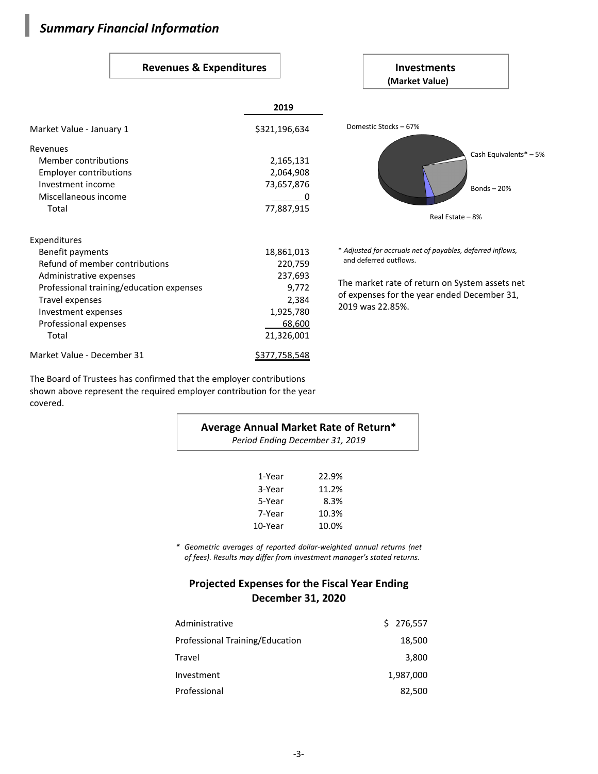# *Summary Financial Information*

## Revenues & Expenditures **Investments**

### **(Market Value)** \* *Adjusted for accruals net of payables, deferred inflows,* and deferred outflows. The market rate of return on System assets net of expenses for the year ended December 31, 2019 was 22.85%. **2019** Market Value - January 1  $\frac{1}{321,196,634}$ Revenues Member contributions 2,165,131 Employer contributions 2,064,908 Investment income 73,657,876 Miscellaneous income 0 Total 77,887,915 Expenditures Benefit payments 18,861,013 Refund of member contributions 220,759 Administrative expenses 237,693 Professional training/education expenses 9,772 Travel expenses 2,384 Investment expenses 1,925,780 Professional expenses and the contract of the contract of the contract of the contract of the contract of the contract of the contract of the contract of the contract of the contract of the contract of the contract of the Total 21,326,001 Market Value - December 31 \$377,758,548 Domestic Stocks – 67% Bonds – 20% Cash Equivalents\* – 5% Real Estate – 8%

The Board of Trustees has confirmed that the employer contributions shown above represent the required employer contribution for the year covered.

| Average Annual Market Rate of Return*<br>Period Ending December 31, 2019 |       |  |  |  |  |
|--------------------------------------------------------------------------|-------|--|--|--|--|
| 1-Year                                                                   | 22.9% |  |  |  |  |
| 3-Year                                                                   | 11.2% |  |  |  |  |
| 5-Year                                                                   | 8.3%  |  |  |  |  |
| 7-Year                                                                   | 10.3% |  |  |  |  |
| 10-Year                                                                  | 10.0% |  |  |  |  |

*\* Geometric averages of reported dollar-weighted annual returns (net of fees). Results may differ from investment manager's stated returns.*

# **Projected Expenses for the Fiscal Year Ending December 31, 2020**

| Administrative                  | \$276,557 |
|---------------------------------|-----------|
| Professional Training/Education | 18,500    |
| Travel                          | 3,800     |
| Investment                      | 1,987,000 |
| Professional                    | 82,500    |